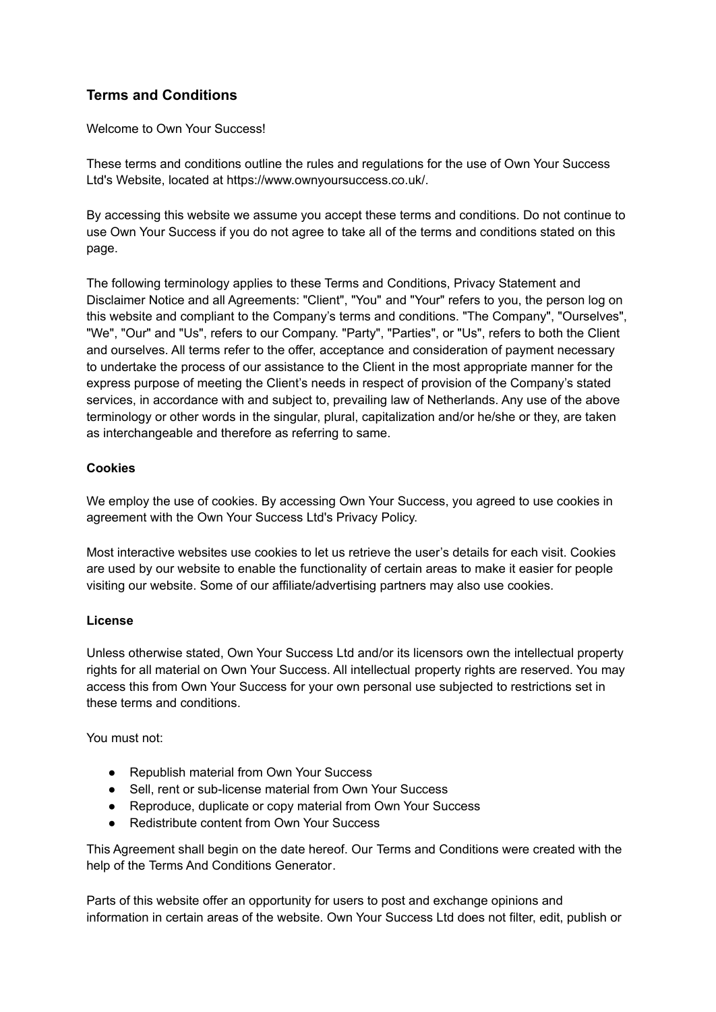# **Terms and Conditions**

Welcome to Own Your Success!

These terms and conditions outline the rules and regulations for the use of Own Your Success Ltd's Website, located at https://www.ownyoursuccess.co.uk/.

By accessing this website we assume you accept these terms and conditions. Do not continue to use Own Your Success if you do not agree to take all of the terms and conditions stated on this page.

The following terminology applies to these Terms and Conditions, Privacy Statement and Disclaimer Notice and all Agreements: "Client", "You" and "Your" refers to you, the person log on this website and compliant to the Company's terms and conditions. "The Company", "Ourselves", "We", "Our" and "Us", refers to our Company. "Party", "Parties", or "Us", refers to both the Client and ourselves. All terms refer to the offer, acceptance and consideration of payment necessary to undertake the process of our assistance to the Client in the most appropriate manner for the express purpose of meeting the Client's needs in respect of provision of the Company's stated services, in accordance with and subject to, prevailing law of Netherlands. Any use of the above terminology or other words in the singular, plural, capitalization and/or he/she or they, are taken as interchangeable and therefore as referring to same.

## **Cookies**

We employ the use of cookies. By accessing Own Your Success, you agreed to use cookies in agreement with the Own Your Success Ltd's Privacy Policy.

Most interactive websites use cookies to let us retrieve the user's details for each visit. Cookies are used by our website to enable the functionality of certain areas to make it easier for people visiting our website. Some of our affiliate/advertising partners may also use cookies.

## **License**

Unless otherwise stated, Own Your Success Ltd and/or its licensors own the intellectual property rights for all material on Own Your Success. All intellectual property rights are reserved. You may access this from Own Your Success for your own personal use subjected to restrictions set in these terms and conditions.

You must not:

- Republish material from Own Your Success
- Sell, rent or sub-license material from Own Your Success
- Reproduce, duplicate or copy material from Own Your Success
- Redistribute content from Own Your Success

This Agreement shall begin on the date hereof. Our Terms and Conditions were created with the help of the [Terms And Conditions Generator.](https://www.termsandconditionsgenerator.com/)

Parts of this website offer an opportunity for users to post and exchange opinions and information in certain areas of the website. Own Your Success Ltd does not filter, edit, publish or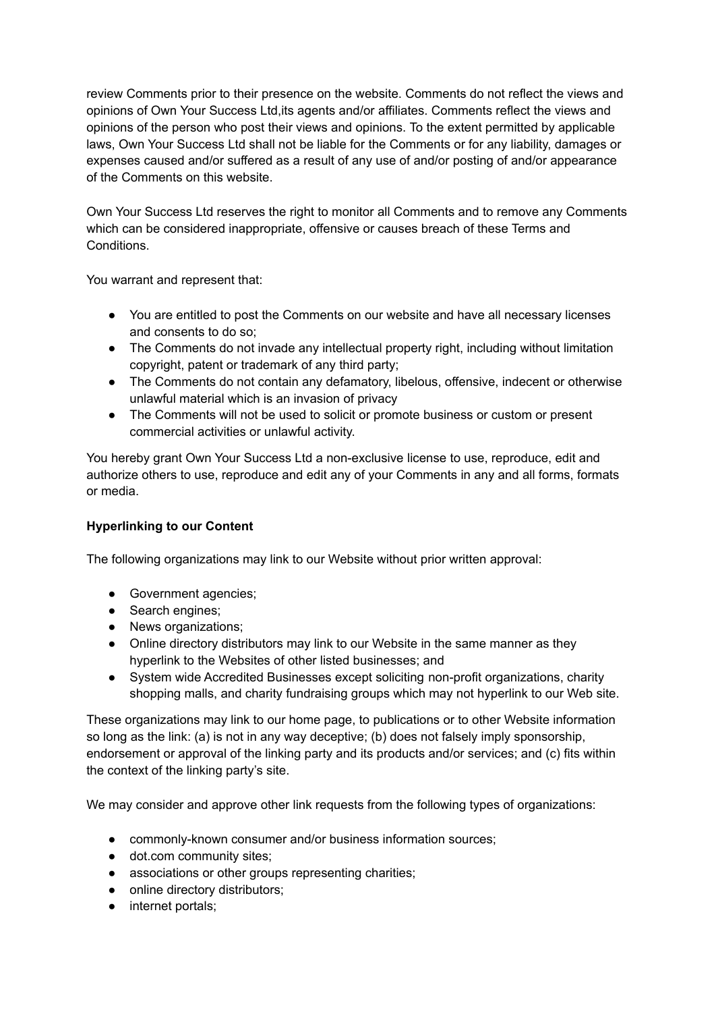review Comments prior to their presence on the website. Comments do not reflect the views and opinions of Own Your Success Ltd,its agents and/or affiliates. Comments reflect the views and opinions of the person who post their views and opinions. To the extent permitted by applicable laws, Own Your Success Ltd shall not be liable for the Comments or for any liability, damages or expenses caused and/or suffered as a result of any use of and/or posting of and/or appearance of the Comments on this website.

Own Your Success Ltd reserves the right to monitor all Comments and to remove any Comments which can be considered inappropriate, offensive or causes breach of these Terms and Conditions.

You warrant and represent that:

- You are entitled to post the Comments on our website and have all necessary licenses and consents to do so;
- The Comments do not invade any intellectual property right, including without limitation copyright, patent or trademark of any third party;
- The Comments do not contain any defamatory, libelous, offensive, indecent or otherwise unlawful material which is an invasion of privacy
- The Comments will not be used to solicit or promote business or custom or present commercial activities or unlawful activity.

You hereby grant Own Your Success Ltd a non-exclusive license to use, reproduce, edit and authorize others to use, reproduce and edit any of your Comments in any and all forms, formats or media.

## **Hyperlinking to our Content**

The following organizations may link to our Website without prior written approval:

- Government agencies;
- Search engines;
- News organizations;
- Online directory distributors may link to our Website in the same manner as they hyperlink to the Websites of other listed businesses; and
- System wide Accredited Businesses except soliciting non-profit organizations, charity shopping malls, and charity fundraising groups which may not hyperlink to our Web site.

These organizations may link to our home page, to publications or to other Website information so long as the link: (a) is not in any way deceptive; (b) does not falsely imply sponsorship, endorsement or approval of the linking party and its products and/or services; and (c) fits within the context of the linking party's site.

We may consider and approve other link requests from the following types of organizations:

- commonly-known consumer and/or business information sources;
- dot.com community sites;
- associations or other groups representing charities;
- online directory distributors;
- internet portals;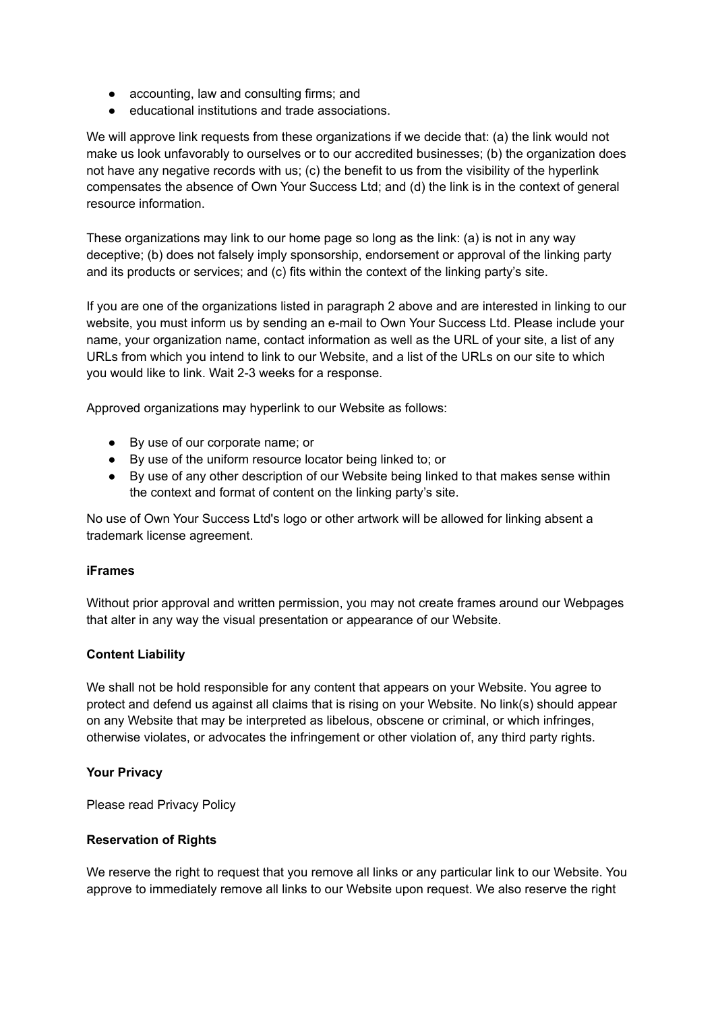- accounting, law and consulting firms; and
- educational institutions and trade associations.

We will approve link requests from these organizations if we decide that: (a) the link would not make us look unfavorably to ourselves or to our accredited businesses; (b) the organization does not have any negative records with us; (c) the benefit to us from the visibility of the hyperlink compensates the absence of Own Your Success Ltd; and (d) the link is in the context of general resource information.

These organizations may link to our home page so long as the link: (a) is not in any way deceptive; (b) does not falsely imply sponsorship, endorsement or approval of the linking party and its products or services; and (c) fits within the context of the linking party's site.

If you are one of the organizations listed in paragraph 2 above and are interested in linking to our website, you must inform us by sending an e-mail to Own Your Success Ltd. Please include your name, your organization name, contact information as well as the URL of your site, a list of any URLs from which you intend to link to our Website, and a list of the URLs on our site to which you would like to link. Wait 2-3 weeks for a response.

Approved organizations may hyperlink to our Website as follows:

- By use of our corporate name; or
- By use of the uniform resource locator being linked to; or
- By use of any other description of our Website being linked to that makes sense within the context and format of content on the linking party's site.

No use of Own Your Success Ltd's logo or other artwork will be allowed for linking absent a trademark license agreement.

#### **iFrames**

Without prior approval and written permission, you may not create frames around our Webpages that alter in any way the visual presentation or appearance of our Website.

#### **Content Liability**

We shall not be hold responsible for any content that appears on your Website. You agree to protect and defend us against all claims that is rising on your Website. No link(s) should appear on any Website that may be interpreted as libelous, obscene or criminal, or which infringes, otherwise violates, or advocates the infringement or other violation of, any third party rights.

#### **Your Privacy**

Please read Privacy Policy

#### **Reservation of Rights**

We reserve the right to request that you remove all links or any particular link to our Website. You approve to immediately remove all links to our Website upon request. We also reserve the right